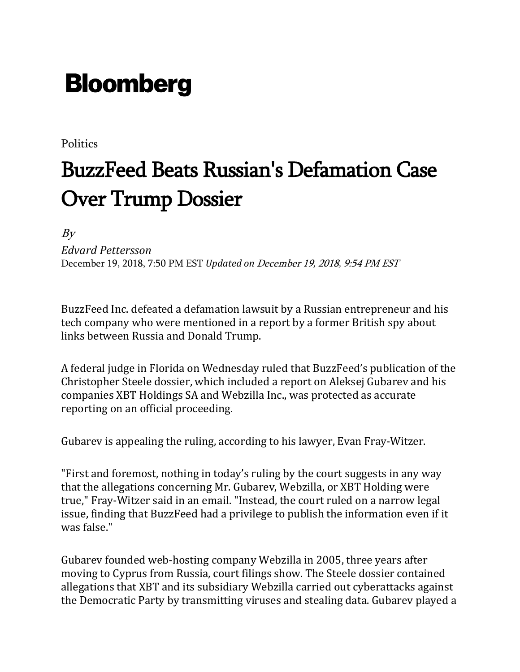## **Bloomberg**

**Politics** 

## BuzzFeed Beats Russian's Defamation Case Over Trump Dossier

 $By$ 

*Edvard Pettersson*

December 19, 2018, 7:50 PM EST *Updated on* December 19, 2018, 9:54 PM EST

BuzzFeed Inc. defeated a defamation lawsuit by a Russian entrepreneur and his tech company who were mentioned in a report by a former British spy about links between Russia and Donald Trump.

A federal judge in Florida on Wednesday ruled that BuzzFeed's publication of the Christopher Steele dossier, which included a report on Aleksej Gubarev and his companies XBT Holdings SA and Webzilla Inc., was protected as accurate reporting on an official proceeding.

Gubarev is appealing the ruling, according to his lawyer, Evan Fray-Witzer.

"First and foremost, nothing in today's ruling by the court suggests in any way that the allegations concerning Mr. Gubarev, Webzilla, or XBT Holding were true," Fray-Witzer said in an email. "Instead, the court ruled on a narrow legal issue, finding that BuzzFeed had a privilege to publish the information even if it was false."

Gubarev founded web-hosting company Webzilla in 2005, three years after moving to Cyprus from Russia, court filings show. The Steele dossier contained allegations that XBT and its subsidiary Webzilla carried out cyberattacks against the [Democratic](https://www.bloomberg.com/quote/0176518D:US) Party by transmitting viruses and stealing data. Gubarev played a